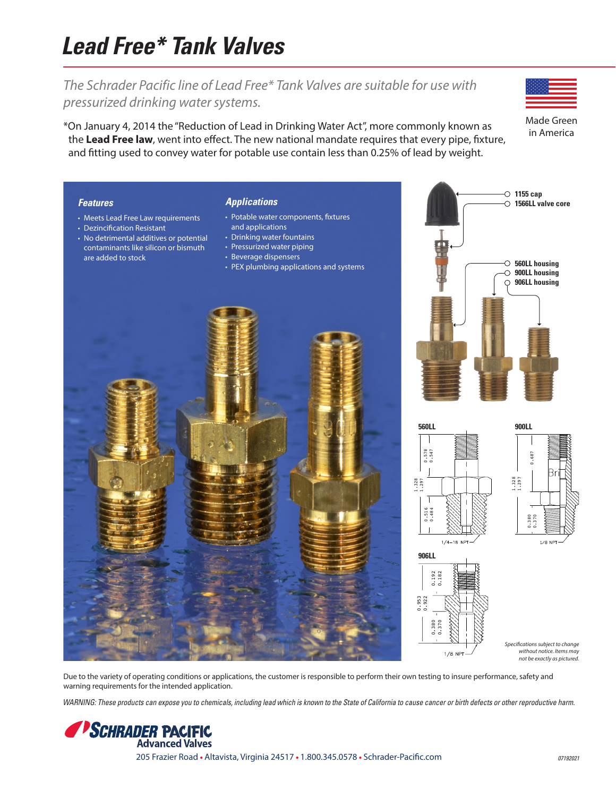## **Lead Free\* Tank Valves**

## *The Schrader Pacific line of Lead Free\* Tank Valves are suitable for use with pressurized drinking water systems.*

\*On January 4, 2014 the "Reduction of Lead in Drinking Water Act", more commonly known as the **Lead Free law**, went into effect. The new national mandate requires that every pipe, fixture, and fitting used to convey water for potable use contain less than 0.25% of lead by weight.

Made Green in America



Due to the variety of operating conditions or applications, the customer is responsible to perform their own testing to insure performance, safety and warning requirements for the intended application.

WARNING: These products can expose you to chemicals, including lead which is known to the State of California to cause cancer or birth defects or other reproductive harm.

**SCHRADER PACIFIC Advanced Valves** 205 Frazier Road • Altavista, Virginia 24517 • 1.800.345.0578 • Schrader-Pacific.com